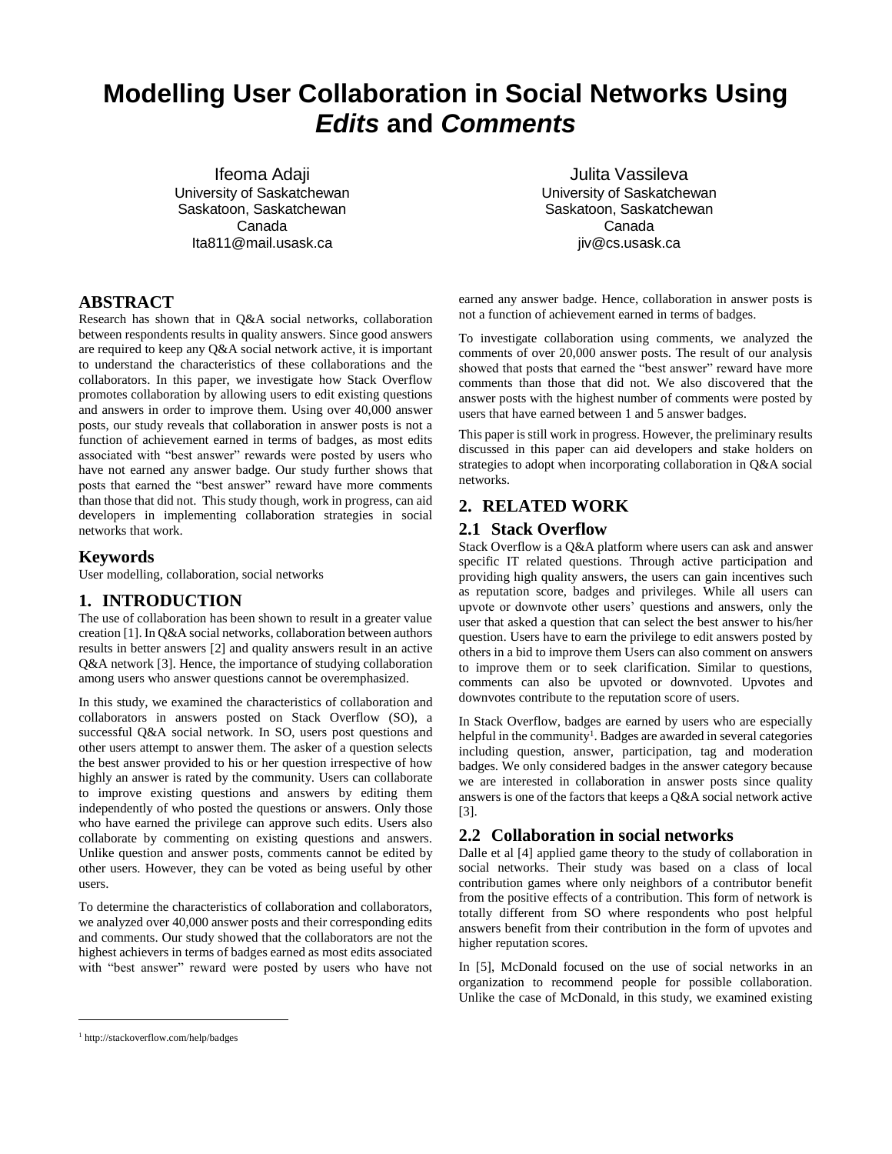# **Modelling User Collaboration in Social Networks Using**  *Edits* **and** *Comments*

Ifeoma Adaji University of Saskatchewan Saskatoon, Saskatchewan Canada Ita811@mail.usask.ca

Julita Vassileva University of Saskatchewan Saskatoon, Saskatchewan Canada jiv@cs.usask.ca

# **ABSTRACT**

Research has shown that in Q&A social networks, collaboration between respondents results in quality answers. Since good answers are required to keep any Q&A social network active, it is important to understand the characteristics of these collaborations and the collaborators. In this paper, we investigate how Stack Overflow promotes collaboration by allowing users to edit existing questions and answers in order to improve them. Using over 40,000 answer posts, our study reveals that collaboration in answer posts is not a function of achievement earned in terms of badges, as most edits associated with "best answer" rewards were posted by users who have not earned any answer badge. Our study further shows that posts that earned the "best answer" reward have more comments than those that did not. This study though, work in progress, can aid developers in implementing collaboration strategies in social networks that work.

#### **Keywords**

User modelling, collaboration, social networks

# **1. INTRODUCTION**

The use of collaboration has been shown to result in a greater value creation [1]. In Q&A social networks, collaboration between authors results in better answers [2] and quality answers result in an active Q&A network [3]. Hence, the importance of studying collaboration among users who answer questions cannot be overemphasized.

In this study, we examined the characteristics of collaboration and collaborators in answers posted on Stack Overflow (SO), a successful Q&A social network. In SO, users post questions and other users attempt to answer them. The asker of a question selects the best answer provided to his or her question irrespective of how highly an answer is rated by the community. Users can collaborate to improve existing questions and answers by editing them independently of who posted the questions or answers. Only those who have earned the privilege can approve such edits. Users also collaborate by commenting on existing questions and answers. Unlike question and answer posts, comments cannot be edited by other users. However, they can be voted as being useful by other users.

To determine the characteristics of collaboration and collaborators, we analyzed over 40,000 answer posts and their corresponding edits and comments. Our study showed that the collaborators are not the highest achievers in terms of badges earned as most edits associated with "best answer" reward were posted by users who have not earned any answer badge. Hence, collaboration in answer posts is not a function of achievement earned in terms of badges.

To investigate collaboration using comments*,* we analyzed the comments of over 20,000 answer posts. The result of our analysis showed that posts that earned the "best answer" reward have more comments than those that did not. We also discovered that the answer posts with the highest number of comments were posted by users that have earned between 1 and 5 answer badges.

This paper is still work in progress. However, the preliminary results discussed in this paper can aid developers and stake holders on strategies to adopt when incorporating collaboration in Q&A social networks.

# **2. RELATED WORK**

#### **2.1 Stack Overflow**

Stack Overflow is a Q&A platform where users can ask and answer specific IT related questions. Through active participation and providing high quality answers, the users can gain incentives such as reputation score, badges and privileges. While all users can upvote or downvote other users' questions and answers, only the user that asked a question that can select the best answer to his/her question. Users have to earn the privilege to edit answers posted by others in a bid to improve them Users can also comment on answers to improve them or to seek clarification. Similar to questions, comments can also be upvoted or downvoted. Upvotes and downvotes contribute to the reputation score of users.

In Stack Overflow, badges are earned by users who are especially helpful in the community<sup>1</sup>. Badges are awarded in several categories including question, answer, participation, tag and moderation badges. We only considered badges in the answer category because we are interested in collaboration in answer posts since quality answers is one of the factors that keeps a Q&A social network active [3].

#### **2.2 Collaboration in social networks**

Dalle et al [4] applied game theory to the study of collaboration in social networks. Their study was based on a class of local contribution games where only neighbors of a contributor benefit from the positive effects of a contribution. This form of network is totally different from SO where respondents who post helpful answers benefit from their contribution in the form of upvotes and higher reputation scores.

In [5], McDonald focused on the use of social networks in an organization to recommend people for possible collaboration. Unlike the case of McDonald, in this study, we examined existing

 $\overline{a}$ 

<sup>1</sup> http://stackoverflow.com/help/badges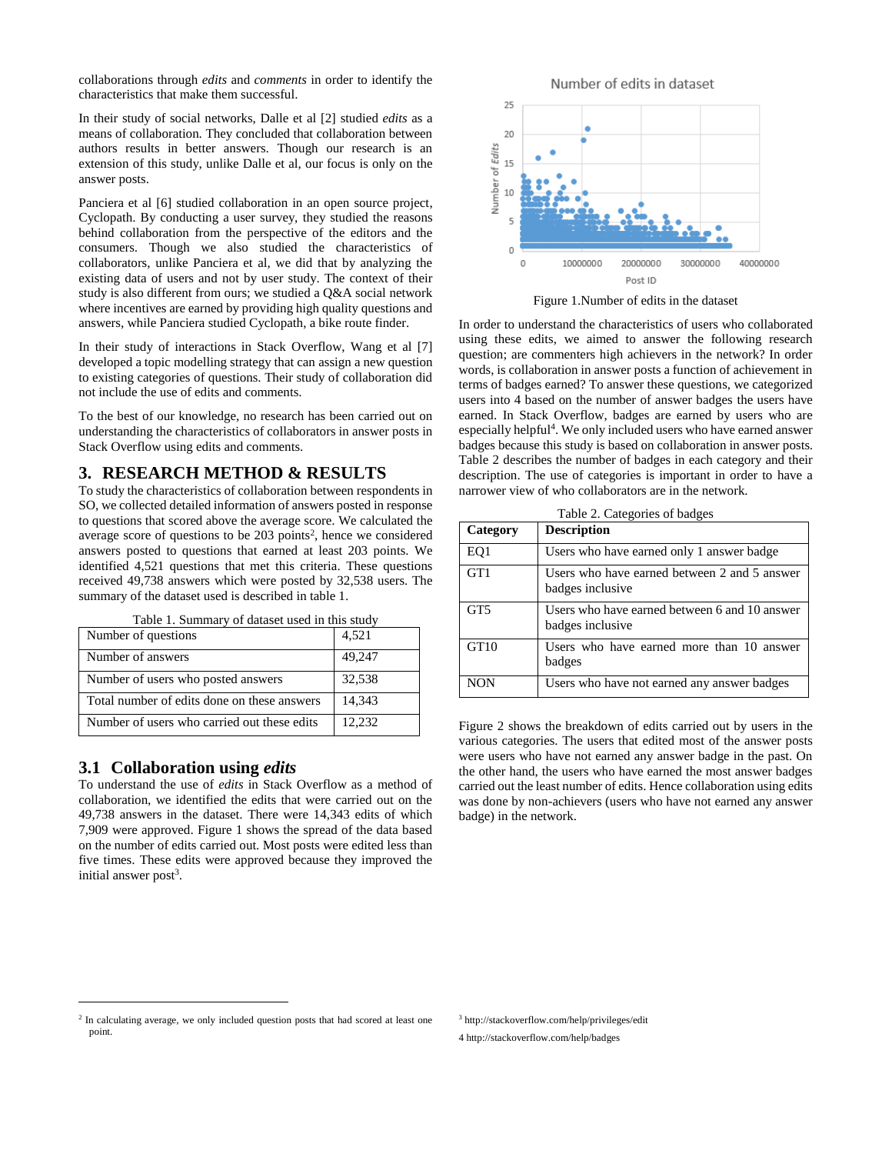collaborations through *edits* and *comments* in order to identify the characteristics that make them successful.

In their study of social networks, Dalle et al [2] studied *edits* as a means of collaboration. They concluded that collaboration between authors results in better answers. Though our research is an extension of this study, unlike Dalle et al, our focus is only on the answer posts.

Panciera et al [6] studied collaboration in an open source project, Cyclopath. By conducting a user survey, they studied the reasons behind collaboration from the perspective of the editors and the consumers. Though we also studied the characteristics of collaborators, unlike Panciera et al, we did that by analyzing the existing data of users and not by user study. The context of their study is also different from ours; we studied a Q&A social network where incentives are earned by providing high quality questions and answers, while Panciera studied Cyclopath, a bike route finder.

In their study of interactions in Stack Overflow, Wang et al [7] developed a topic modelling strategy that can assign a new question to existing categories of questions. Their study of collaboration did not include the use of edits and comments.

To the best of our knowledge, no research has been carried out on understanding the characteristics of collaborators in answer posts in Stack Overflow using edits and comments.

### **3. RESEARCH METHOD & RESULTS**

To study the characteristics of collaboration between respondents in SO, we collected detailed information of answers posted in response to questions that scored above the average score. We calculated the average score of questions to be  $203$  points<sup>2</sup>, hence we considered answers posted to questions that earned at least 203 points. We identified 4,521 questions that met this criteria. These questions received 49,738 answers which were posted by 32,538 users. The summary of the dataset used is described in table 1.

| Number of questions                         | 4,521  |
|---------------------------------------------|--------|
| Number of answers                           | 49,247 |
| Number of users who posted answers          | 32,538 |
| Total number of edits done on these answers | 14,343 |
| Number of users who carried out these edits | 12.232 |

Table 1. Summary of dataset used in this study

#### **3.1 Collaboration using** *edits*

 $\overline{a}$ 

To understand the use of *edits* in Stack Overflow as a method of collaboration, we identified the edits that were carried out on the 49,738 answers in the dataset. There were 14,343 edits of which 7,909 were approved. Figure 1 shows the spread of the data based on the number of edits carried out. Most posts were edited less than five times. These edits were approved because they improved the initial answer post<sup>3</sup>.



Figure 1.Number of edits in the dataset

In order to understand the characteristics of users who collaborated using these edits, we aimed to answer the following research question; are commenters high achievers in the network? In order words, is collaboration in answer posts a function of achievement in terms of badges earned? To answer these questions, we categorized users into 4 based on the number of answer badges the users have earned. In Stack Overflow, badges are earned by users who are especially helpful<sup>4</sup>. We only included users who have earned answer badges because this study is based on collaboration in answer posts. Table 2 describes the number of badges in each category and their description. The use of categories is important in order to have a narrower view of who collaborators are in the network.

| Category        | <b>Description</b>                                                |
|-----------------|-------------------------------------------------------------------|
| EQ1             | Users who have earned only 1 answer badge                         |
| GT1             | Users who have earned between 2 and 5 answer<br>badges inclusive  |
| GT <sub>5</sub> | Users who have earned between 6 and 10 answer<br>badges inclusive |
| GT10            | Users who have earned more than 10 answer<br>badges               |
| <b>NON</b>      | Users who have not earned any answer badges                       |

Figure 2 shows the breakdown of edits carried out by users in the various categories. The users that edited most of the answer posts were users who have not earned any answer badge in the past. On the other hand, the users who have earned the most answer badges carried out the least number of edits. Hence collaboration using edits was done by non-achievers (users who have not earned any answer badge) in the network.

<sup>3</sup> http://stackoverflow.com/help/privileges/edit

4 http://stackoverflow.com/help/badges

<sup>&</sup>lt;sup>2</sup> In calculating average, we only included question posts that had scored at least one point.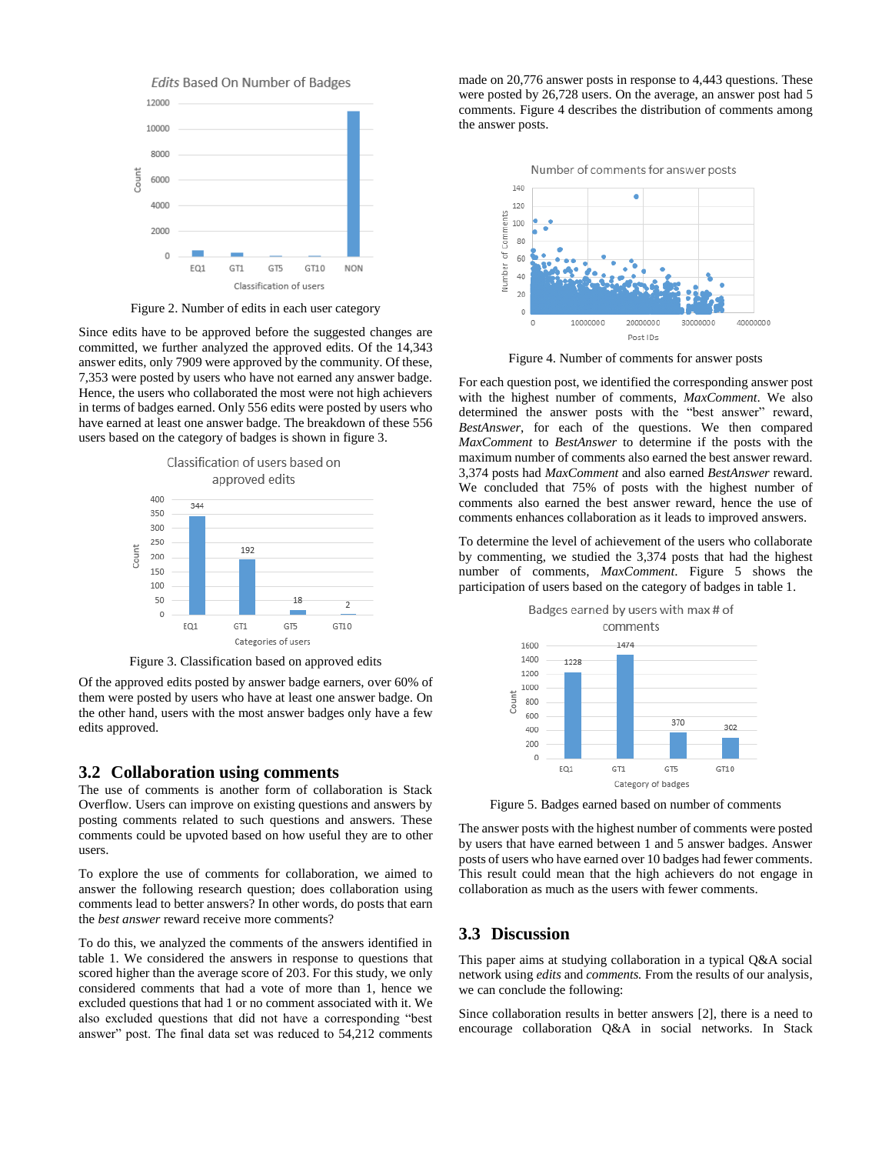

Figure 2. Number of edits in each user category

Since edits have to be approved before the suggested changes are committed, we further analyzed the approved edits. Of the 14,343 answer edits, only 7909 were approved by the community. Of these, 7,353 were posted by users who have not earned any answer badge. Hence, the users who collaborated the most were not high achievers in terms of badges earned. Only 556 edits were posted by users who have earned at least one answer badge. The breakdown of these 556 users based on the category of badges is shown in figure 3.



Figure 3. Classification based on approved edits

Of the approved edits posted by answer badge earners, over 60% of them were posted by users who have at least one answer badge. On the other hand, users with the most answer badges only have a few edits approved.

#### **3.2 Collaboration using comments**

The use of comments is another form of collaboration is Stack Overflow. Users can improve on existing questions and answers by posting comments related to such questions and answers. These comments could be upvoted based on how useful they are to other users.

To explore the use of comments for collaboration, we aimed to answer the following research question; does collaboration using comments lead to better answers? In other words, do posts that earn the *best answer* reward receive more comments?

To do this, we analyzed the comments of the answers identified in table 1. We considered the answers in response to questions that scored higher than the average score of 203. For this study, we only considered comments that had a vote of more than 1, hence we excluded questions that had 1 or no comment associated with it. We also excluded questions that did not have a corresponding "best answer" post. The final data set was reduced to 54,212 comments made on 20,776 answer posts in response to 4,443 questions. These were posted by 26,728 users. On the average, an answer post had 5 comments. Figure 4 describes the distribution of comments among the answer posts.



Figure 4. Number of comments for answer posts

For each question post, we identified the corresponding answer post with the highest number of comments, *MaxComment*. We also determined the answer posts with the "best answer" reward, *BestAnswer*, for each of the questions. We then compared *MaxComment* to *BestAnswer* to determine if the posts with the maximum number of comments also earned the best answer reward. 3,374 posts had *MaxComment* and also earned *BestAnswer* reward. We concluded that 75% of posts with the highest number of comments also earned the best answer reward, hence the use of comments enhances collaboration as it leads to improved answers.

To determine the level of achievement of the users who collaborate by commenting, we studied the 3,374 posts that had the highest number of comments, *MaxComment*. Figure 5 shows the participation of users based on the category of badges in table 1.



Figure 5. Badges earned based on number of comments

The answer posts with the highest number of comments were posted by users that have earned between 1 and 5 answer badges. Answer posts of users who have earned over 10 badges had fewer comments. This result could mean that the high achievers do not engage in collaboration as much as the users with fewer comments.

# **3.3 Discussion**

This paper aims at studying collaboration in a typical Q&A social network using *edits* and *comments.* From the results of our analysis, we can conclude the following:

Since collaboration results in better answers [2], there is a need to encourage collaboration Q&A in social networks. In Stack